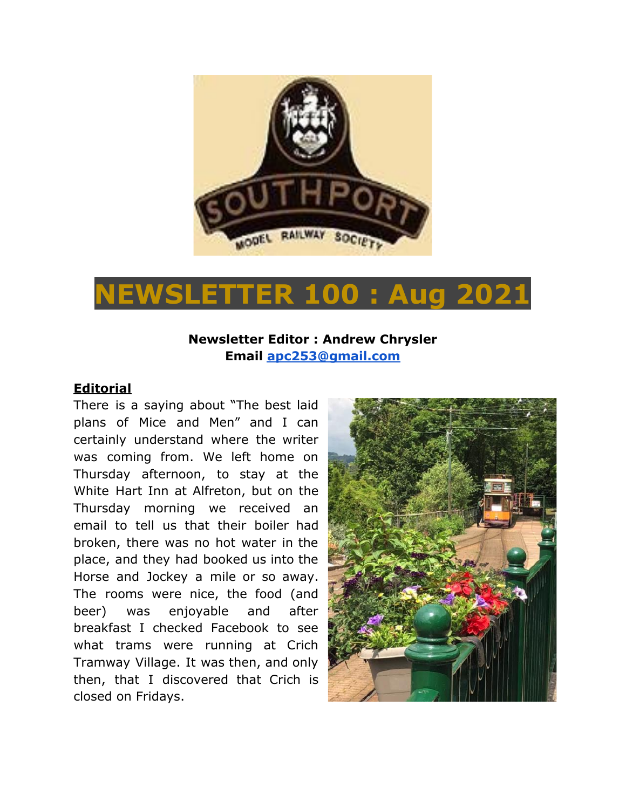

# **NEWSLETTER 100 : Aug 2021**

# **Newsletter Editor : Andrew Chrysler Email [apc253@gmail.com](mailto:apc253@gmail.com)**

## **Editorial**

There is a saying about "The best laid plans of Mice and Men" and I can certainly understand where the writer was coming from. We left home on Thursday afternoon, to stay at the White Hart Inn at Alfreton, but on the Thursday morning we received an email to tell us that their boiler had broken, there was no hot water in the place, and they had booked us into the Horse and Jockey a mile or so away. The rooms were nice, the food (and beer) was enjoyable and after breakfast I checked Facebook to see what trams were running at Crich Tramway Village. It was then, and only then, that I discovered that Crich is closed on Fridays.

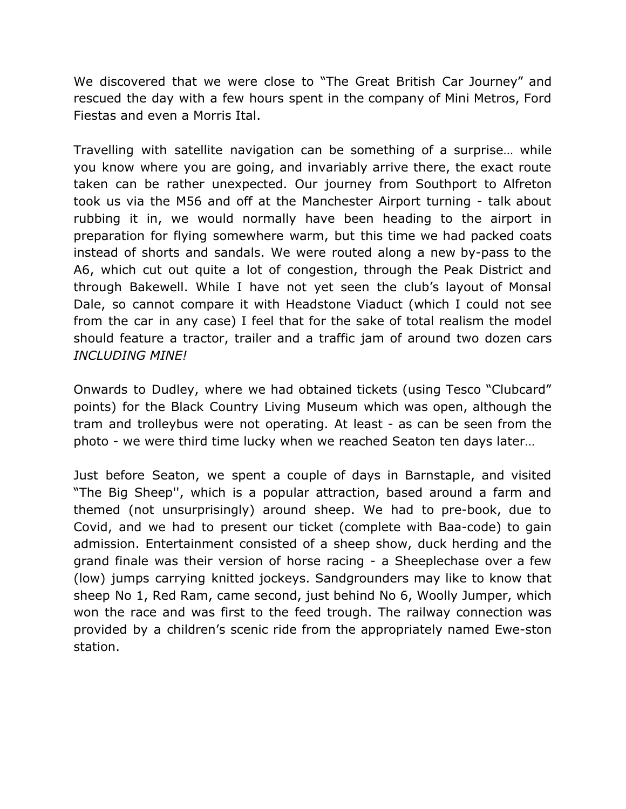We discovered that we were close to "The Great British Car Journey" and rescued the day with a few hours spent in the company of Mini Metros, Ford Fiestas and even a Morris Ital.

Travelling with satellite navigation can be something of a surprise… while you know where you are going, and invariably arrive there, the exact route taken can be rather unexpected. Our journey from Southport to Alfreton took us via the M56 and off at the Manchester Airport turning - talk about rubbing it in, we would normally have been heading to the airport in preparation for flying somewhere warm, but this time we had packed coats instead of shorts and sandals. We were routed along a new by-pass to the A6, which cut out quite a lot of congestion, through the Peak District and through Bakewell. While I have not yet seen the club's layout of Monsal Dale, so cannot compare it with Headstone Viaduct (which I could not see from the car in any case) I feel that for the sake of total realism the model should feature a tractor, trailer and a traffic jam of around two dozen cars *INCLUDING MINE!*

Onwards to Dudley, where we had obtained tickets (using Tesco "Clubcard" points) for the Black Country Living Museum which was open, although the tram and trolleybus were not operating. At least - as can be seen from the photo - we were third time lucky when we reached Seaton ten days later…

Just before Seaton, we spent a couple of days in Barnstaple, and visited "The Big Sheep'', which is a popular attraction, based around a farm and themed (not unsurprisingly) around sheep. We had to pre-book, due to Covid, and we had to present our ticket (complete with Baa-code) to gain admission. Entertainment consisted of a sheep show, duck herding and the grand finale was their version of horse racing - a Sheeplechase over a few (low) jumps carrying knitted jockeys. Sandgrounders may like to know that sheep No 1, Red Ram, came second, just behind No 6, Woolly Jumper, which won the race and was first to the feed trough. The railway connection was provided by a children's scenic ride from the appropriately named Ewe-ston station.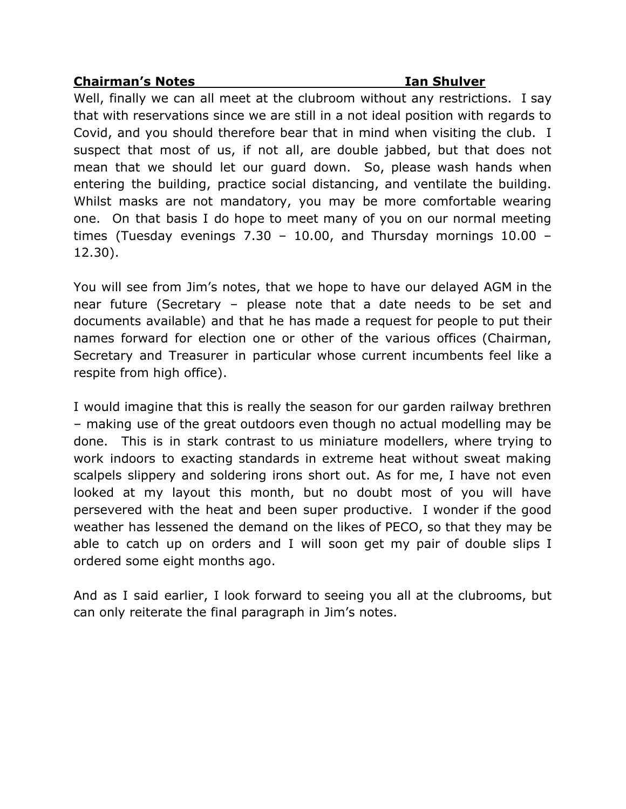## **Chairman's Notes Ian Shulver**

Well, finally we can all meet at the clubroom without any restrictions. I say that with reservations since we are still in a not ideal position with regards to Covid, and you should therefore bear that in mind when visiting the club. I suspect that most of us, if not all, are double jabbed, but that does not mean that we should let our guard down. So, please wash hands when entering the building, practice social distancing, and ventilate the building. Whilst masks are not mandatory, you may be more comfortable wearing one. On that basis I do hope to meet many of you on our normal meeting times (Tuesday evenings 7.30 – 10.00, and Thursday mornings 10.00 – 12.30).

You will see from Jim's notes, that we hope to have our delayed AGM in the near future (Secretary – please note that a date needs to be set and documents available) and that he has made a request for people to put their names forward for election one or other of the various offices (Chairman, Secretary and Treasurer in particular whose current incumbents feel like a respite from high office).

I would imagine that this is really the season for our garden railway brethren – making use of the great outdoors even though no actual modelling may be done. This is in stark contrast to us miniature modellers, where trying to work indoors to exacting standards in extreme heat without sweat making scalpels slippery and soldering irons short out. As for me, I have not even looked at my layout this month, but no doubt most of you will have persevered with the heat and been super productive. I wonder if the good weather has lessened the demand on the likes of PECO, so that they may be able to catch up on orders and I will soon get my pair of double slips I ordered some eight months ago.

And as I said earlier, I look forward to seeing you all at the clubrooms, but can only reiterate the final paragraph in Jim's notes.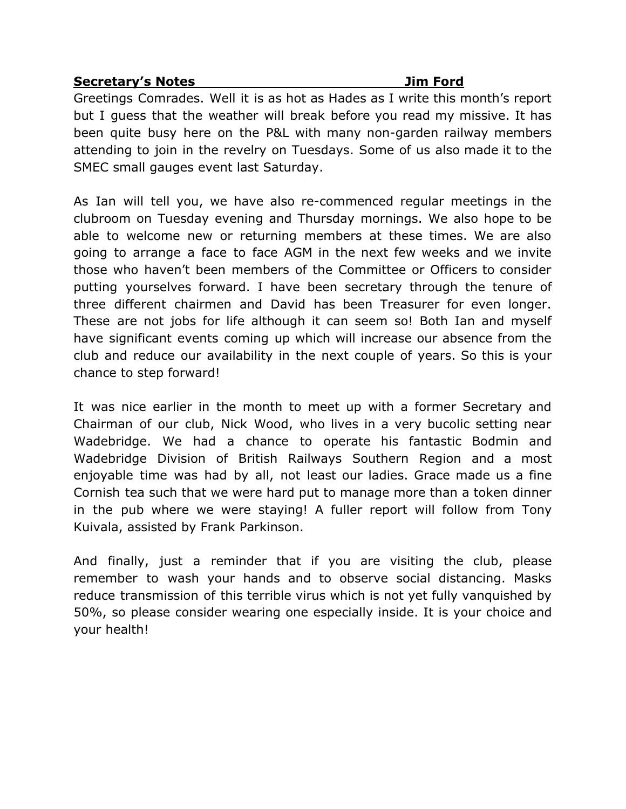### **Secretary's Notes Jim Ford**

Greetings Comrades. Well it is as hot as Hades as I write this month's report but I guess that the weather will break before you read my missive. It has been quite busy here on the P&L with many non-garden railway members attending to join in the revelry on Tuesdays. Some of us also made it to the SMEC small gauges event last Saturday.

As Ian will tell you, we have also re-commenced regular meetings in the clubroom on Tuesday evening and Thursday mornings. We also hope to be able to welcome new or returning members at these times. We are also going to arrange a face to face AGM in the next few weeks and we invite those who haven't been members of the Committee or Officers to consider putting yourselves forward. I have been secretary through the tenure of three different chairmen and David has been Treasurer for even longer. These are not jobs for life although it can seem so! Both Ian and myself have significant events coming up which will increase our absence from the club and reduce our availability in the next couple of years. So this is your chance to step forward!

It was nice earlier in the month to meet up with a former Secretary and Chairman of our club, Nick Wood, who lives in a very bucolic setting near Wadebridge. We had a chance to operate his fantastic Bodmin and Wadebridge Division of British Railways Southern Region and a most enjoyable time was had by all, not least our ladies. Grace made us a fine Cornish tea such that we were hard put to manage more than a token dinner in the pub where we were staying! A fuller report will follow from Tony Kuivala, assisted by Frank Parkinson.

And finally, just a reminder that if you are visiting the club, please remember to wash your hands and to observe social distancing. Masks reduce transmission of this terrible virus which is not yet fully vanquished by 50%, so please consider wearing one especially inside. It is your choice and your health!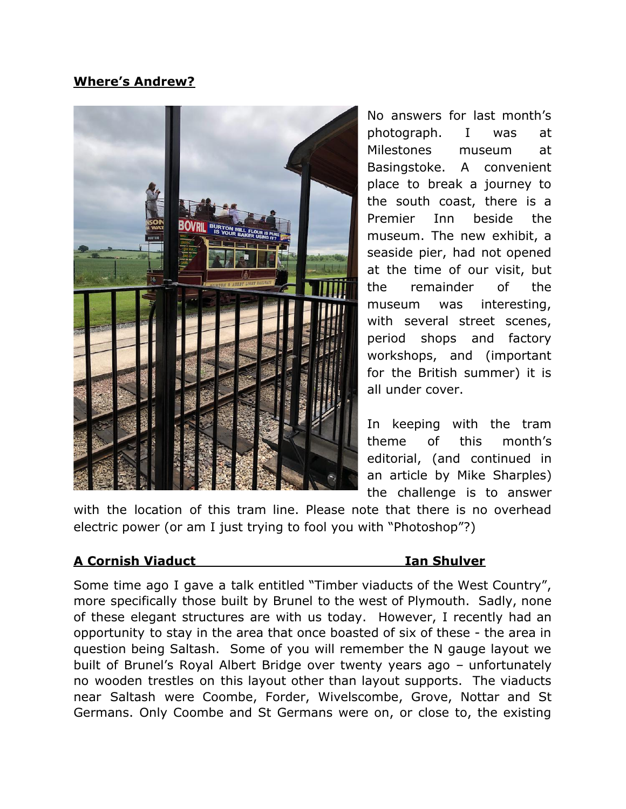# **Where's Andrew?**



No answers for last month's photograph. I was at Milestones museum at Basingstoke. A convenient place to break a journey to the south coast, there is a Premier Inn beside the museum. The new exhibit, a seaside pier, had not opened at the time of our visit, but the remainder of the museum was interesting, with several street scenes, period shops and factory workshops, and (important for the British summer) it is all under cover.

In keeping with the tram theme of this month's editorial, (and continued in an article by Mike Sharples) the challenge is to answer

with the location of this tram line. Please note that there is no overhead electric power (or am I just trying to fool you with "Photoshop"?)

# **A Cornish Viaduct Ian Shulver**

Some time ago I gave a talk entitled "Timber viaducts of the West Country", more specifically those built by Brunel to the west of Plymouth. Sadly, none of these elegant structures are with us today. However, I recently had an opportunity to stay in the area that once boasted of six of these - the area in question being Saltash. Some of you will remember the N gauge layout we built of Brunel's Royal Albert Bridge over twenty years ago – unfortunately no wooden trestles on this layout other than layout supports. The viaducts near Saltash were Coombe, Forder, Wivelscombe, Grove, Nottar and St Germans. Only Coombe and St Germans were on, or close to, the existing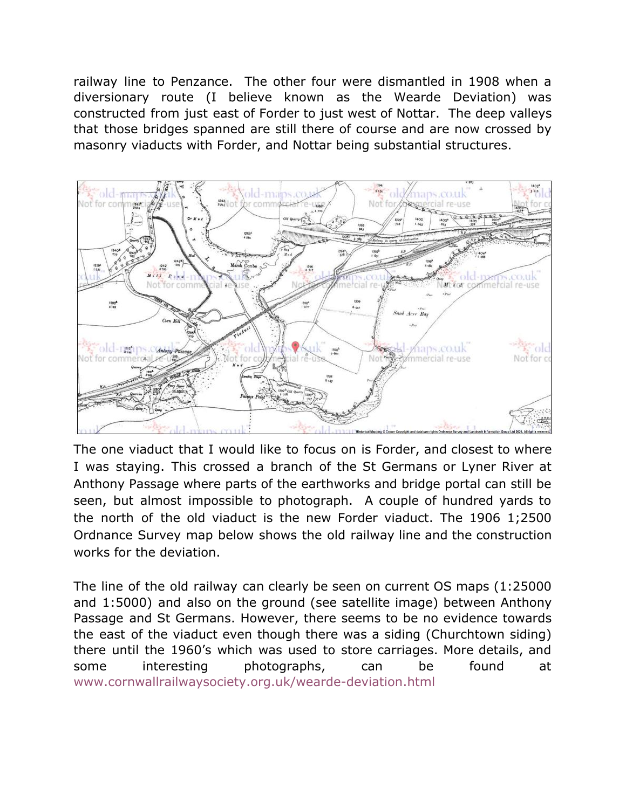railway line to Penzance. The other four were dismantled in 1908 when a diversionary route (I believe known as the Wearde Deviation) was constructed from just east of Forder to just west of Nottar. The deep valleys that those bridges spanned are still there of course and are now crossed by masonry viaducts with Forder, and Nottar being substantial structures.



The one viaduct that I would like to focus on is Forder, and closest to where I was staying. This crossed a branch of the St Germans or Lyner River at Anthony Passage where parts of the earthworks and bridge portal can still be seen, but almost impossible to photograph. A couple of hundred yards to the north of the old viaduct is the new Forder viaduct. The 1906 1;2500 Ordnance Survey map below shows the old railway line and the construction works for the deviation.

The line of the old railway can clearly be seen on current OS maps (1:25000 and 1:5000) and also on the ground (see satellite image) between Anthony Passage and St Germans. However, there seems to be no evidence towards the east of the viaduct even though there was a siding (Churchtown siding) there until the 1960's which was used to store carriages. More details, and some interesting photographs, can be found at [www.cornwallrailwaysociety.org.uk/wearde-deviation.html](http://www.cornwallrailwaysociety.org.uk/wearde-deviation.html)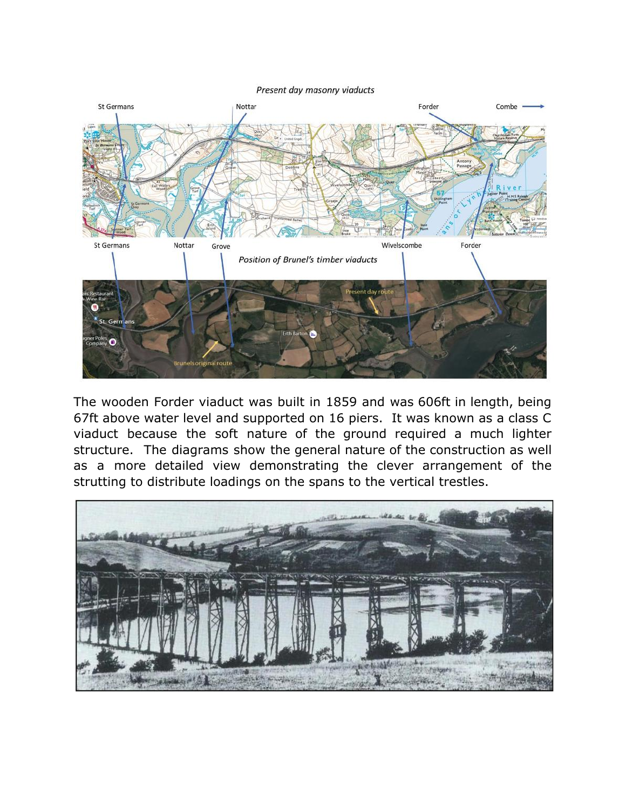Present day masonry viaducts



The wooden Forder viaduct was built in 1859 and was 606ft in length, being 67ft above water level and supported on 16 piers. It was known as a class C viaduct because the soft nature of the ground required a much lighter structure. The diagrams show the general nature of the construction as well as a more detailed view demonstrating the clever arrangement of the strutting to distribute loadings on the spans to the vertical trestles.

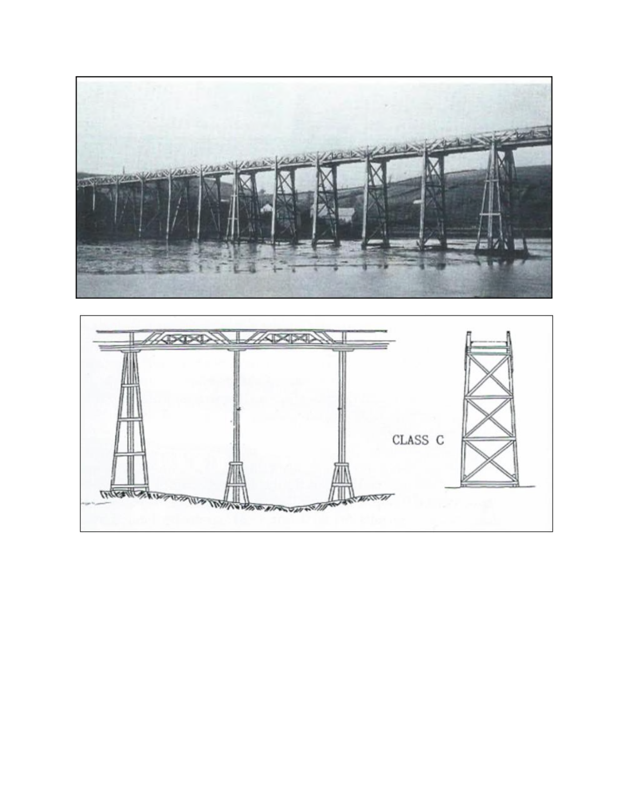

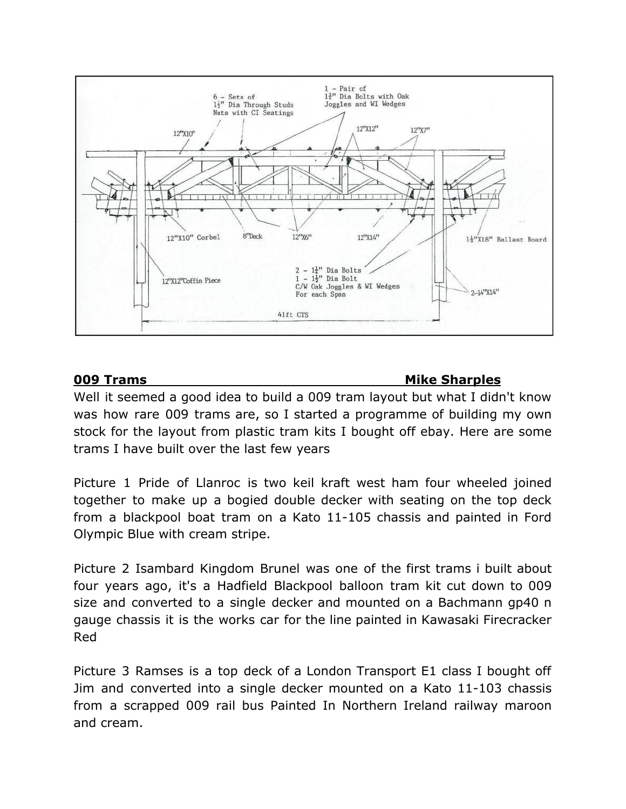

# **009 Trams Mike Sharples**

Well it seemed a good idea to build a 009 tram layout but what I didn't know was how rare 009 trams are, so I started a programme of building my own stock for the layout from plastic tram kits I bought off ebay. Here are some trams I have built over the last few years

Picture 1 Pride of Llanroc is two keil kraft west ham four wheeled joined together to make up a bogied double decker with seating on the top deck from a blackpool boat tram on a Kato 11-105 chassis and painted in Ford Olympic Blue with cream stripe.

Picture 2 Isambard Kingdom Brunel was one of the first trams i built about four years ago, it's a Hadfield Blackpool balloon tram kit cut down to 009 size and converted to a single decker and mounted on a Bachmann gp40 n gauge chassis it is the works car for the line painted in Kawasaki Firecracker Red

Picture 3 Ramses is a top deck of a London Transport E1 class I bought off Jim and converted into a single decker mounted on a Kato 11-103 chassis from a scrapped 009 rail bus Painted In Northern Ireland railway maroon and cream.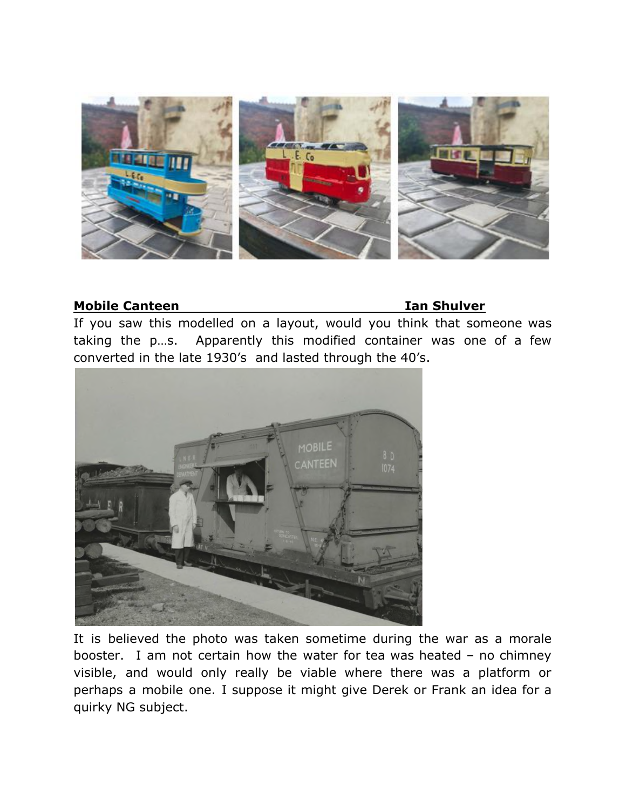

### **Mobile Canteen Ian Shulver**

If you saw this modelled on a layout, would you think that someone was taking the p…s. Apparently this modified container was one of a few converted in the late 1930's and lasted through the 40's.



It is believed the photo was taken sometime during the war as a morale booster. I am not certain how the water for tea was heated – no chimney visible, and would only really be viable where there was a platform or perhaps a mobile one. I suppose it might give Derek or Frank an idea for a quirky NG subject.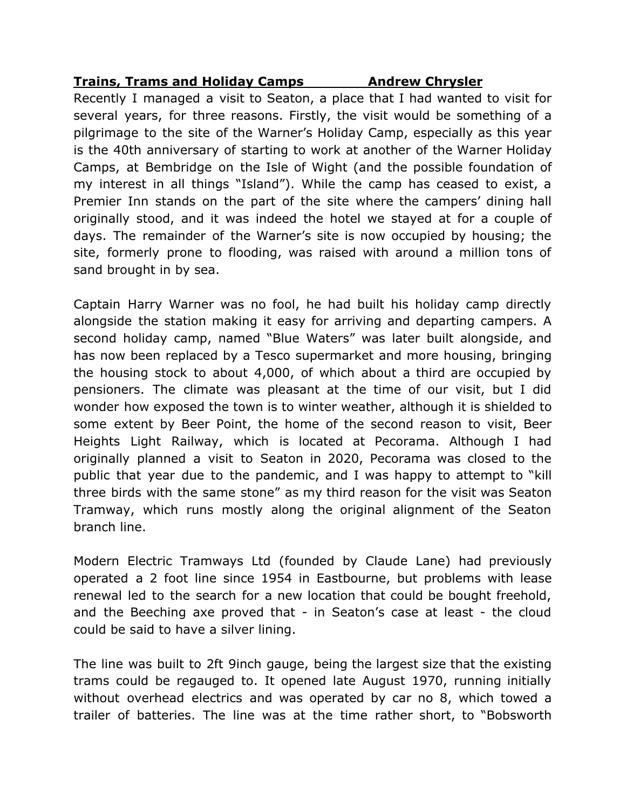## **Trains, Trams and Holiday Camps Andrew Chrysler**

Recently I managed a visit to Seaton, a place that I had wanted to visit for several years, for three reasons. Firstly, the visit would be something of a pilgrimage to the site of the Warner's Holiday Camp, especially as this year is the 40th anniversary of starting to work at another of the Warner Holiday Camps, at Bembridge on the Isle of Wight (and the possible foundation of my interest in all things "Island"). While the camp has ceased to exist, a Premier Inn stands on the part of the site where the campers' dining hall originally stood, and it was indeed the hotel we stayed at for a couple of days. The remainder of the Warner's site is now occupied by housing; the site, formerly prone to flooding, was raised with around a million tons of sand brought in by sea.

Captain Harry Warner was no fool, he had built his holiday camp directly alongside the station making it easy for arriving and departing campers. A second holiday camp, named "Blue Waters" was later built alongside, and has now been replaced by a Tesco supermarket and more housing, bringing the housing stock to about 4,000, of which about a third are occupied by pensioners. The climate was pleasant at the time of our visit, but I did wonder how exposed the town is to winter weather, although it is shielded to some extent by Beer Point, the home of the second reason to visit, Beer Heights Light Railway, which is located at Pecorama. Although I had originally planned a visit to Seaton in 2020, Pecorama was closed to the public that year due to the pandemic, and I was happy to attempt to "kill three birds with the same stone" as my third reason for the visit was Seaton Tramway, which runs mostly along the original alignment of the Seaton branch line.

Modern Electric Tramways Ltd (founded by Claude Lane) had previously operated a 2 foot line since 1954 in Eastbourne, but problems with lease renewal led to the search for a new location that could be bought freehold, and the Beeching axe proved that - in Seaton's case at least - the cloud could be said to have a silver lining.

The line was built to 2ft 9inch gauge, being the largest size that the existing trams could be regauged to. It opened late August 1970, running initially without overhead electrics and was operated by car no 8, which towed a trailer of batteries. The line was at the time rather short, to "Bobsworth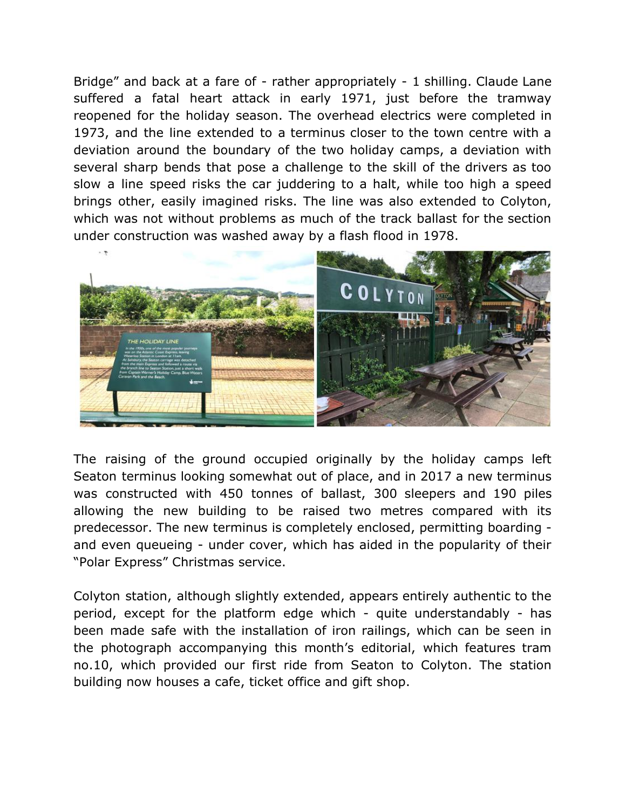Bridge" and back at a fare of - rather appropriately - 1 shilling. Claude Lane suffered a fatal heart attack in early 1971, just before the tramway reopened for the holiday season. The overhead electrics were completed in 1973, and the line extended to a terminus closer to the town centre with a deviation around the boundary of the two holiday camps, a deviation with several sharp bends that pose a challenge to the skill of the drivers as too slow a line speed risks the car juddering to a halt, while too high a speed brings other, easily imagined risks. The line was also extended to Colyton, which was not without problems as much of the track ballast for the section under construction was washed away by a flash flood in 1978.



The raising of the ground occupied originally by the holiday camps left Seaton terminus looking somewhat out of place, and in 2017 a new terminus was constructed with 450 tonnes of ballast, 300 sleepers and 190 piles allowing the new building to be raised two metres compared with its predecessor. The new terminus is completely enclosed, permitting boarding and even queueing - under cover, which has aided in the popularity of their "Polar Express" Christmas service.

Colyton station, although slightly extended, appears entirely authentic to the period, except for the platform edge which - quite understandably - has been made safe with the installation of iron railings, which can be seen in the photograph accompanying this month's editorial, which features tram no.10, which provided our first ride from Seaton to Colyton. The station building now houses a cafe, ticket office and gift shop.